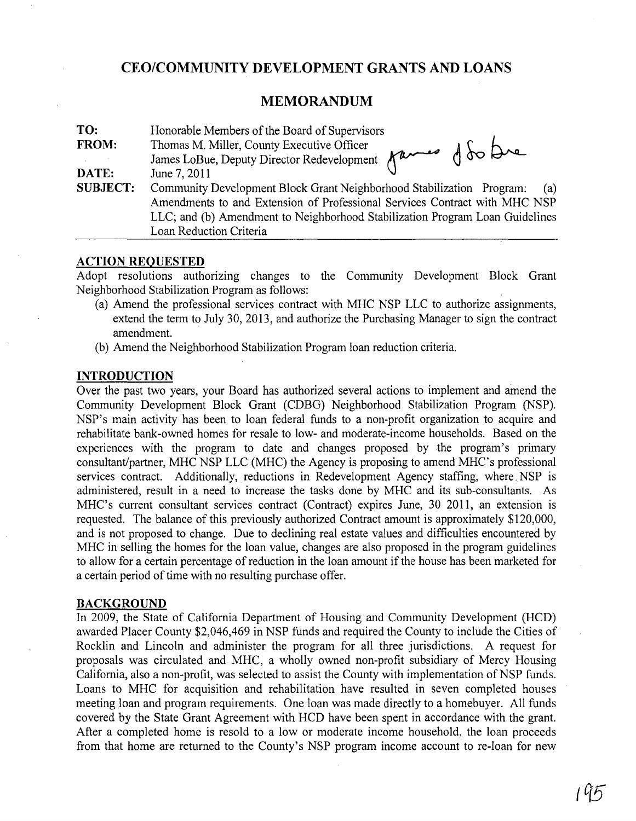# **CEO/COMMUNITY DEVELOPMENT GRANTS AND LOANS**

## **MEMORANDUM**

| TO:             | Honorable Members of the Board of Supervisors                                                                                                              |  |  |
|-----------------|------------------------------------------------------------------------------------------------------------------------------------------------------------|--|--|
| <b>FROM:</b>    | James LoBue, Deputy Director Redevelopment Mames of So Dre                                                                                                 |  |  |
|                 |                                                                                                                                                            |  |  |
| DATE:           | June 7, 2011                                                                                                                                               |  |  |
| <b>SUBJECT:</b> | Community Development Block Grant Neighborhood Stabilization Program:<br>(a)                                                                               |  |  |
|                 | Amendments to and Extension of Professional Services Contract with MHC NSP<br>LLC; and (b) Amendment to Neighborhood Stabilization Program Loan Guidelines |  |  |
|                 |                                                                                                                                                            |  |  |
|                 | Loan Reduction Criteria                                                                                                                                    |  |  |

### **ACTION REQUESTED**

Adopt resolutions authorizing changes to the Community Development Block Grant Neighborhood Stabilization Program as follows:

- (a) Amend the professional services contract with MHC NSP LLC to authorize assignments, extend the term to July 30,2013, and authorize the Purchasing Manager to sign the contract amendment.
- (b) Amend the Neighborhood Stabilization Program loan reduction criteria.

## **INTRODUCTION**

Over the past two years, your Board has authorized several actions to implement and amend the Community Development Block Grant (CDBG) Neighborhood Stabilization Program (NSP). NSP's main activity has been to loan federal funds to a non-profit organization to acquire and rehabilitate bank-owned homes for resale to low- and moderate-income households. Based on the experiences with the program to date and changes proposed by the program's primary consultant/partner, MHC NSP LLC (MHC) the Agency is proposing to amend MHC's professional services contract. Additionally, reductions in Redevelopment Agency staffing, where NSP is administered, result in a need to increase the tasks done by MHC and its sub-consultants. As MHC's current consultant services contract (Contract) expires June, 30 2011, an extension is requested. The balance of this previously authorized Contract amount is approximately \$120,000, and is not proposed to change. Due to declining real estate values and difficulties encountered by MHC in selling the homes for the loan value, changes are also proposed in the program guidelines to allow for a certain percentage of reduction in the loan amount if the house has been marketed for a certain period of time with no resulting purchase offer.

#### **BACKGROUND**

In 2009, the State of California Department of Housing and Community Development (HCD) awarded Placer County \$2,046,469 in NSP funds and required the County to include the Cities of Rocklin and Lincoln and administer the program for all three jurisdictions. A request for proposals was circulated and MHC, a wholly owned non-profit subsidiary of Mercy Housing California, also a non-profit, was selected to assist the County with implementation of NSP funds. Loans to MHC for acquisition and rehabilitation have resulted in seven completed houses meeting loan and program requirements. One loan was made directly to a homebuyer. All funds covered by the State Grant Agreement with RCD have been spent in accordance with the grant. After a completed home is resold to a low or moderate income household, the loan proceeds from that home are returned to the County's NSP program income account to re-Ioan for new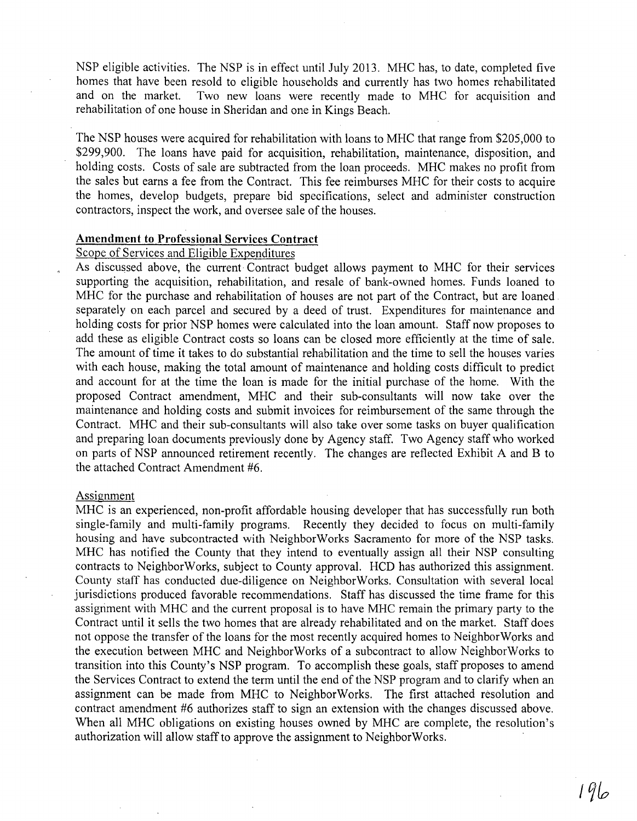NSP eligible activities. The NSP is in effect until July 2013. MHC has, to date, completed five homes that have been resold to eligible households and currently has two homes rehabilitated and on the market. Two new loans were recently made to MHC for acquisition and Two new loans were recently made to MHC for acquisition and rehabilitation of one house in Sheridan and one in Kings Beach.

The NSP houses were acquired for rehabilitation with loans to MHC that range from \$205,000 to \$299,900. The loans have paid for acquisition, rehabilitation, maintenance, disposition, and holding costs. Costs of sale are subtracted from the loan proceeds. MHC makes no profit from the sales but earns a fee from the Contract. This fee reimburses MHC for their costs to acquire the homes, develop budgets, prepare bid specifications, select and administer construction contractors, inspect the work, and oversee sale of the houses.

#### **Amendment to Professional Services Contract**

## Scope of Services and Eligible Expenditures

As discussed above, the current· Contract budget allows payment to MHC for their services supporting the acquisition, rehabilitation, and resale of bank-owned homes. Funds loaned to MHC for the purchase and rehabilitation of houses are not part of the Contract, but are loaned separately on each parcel and secured by a deed of trust. Expenditures for maintenance and holding costs for prior NSP homes were calculated into the loan amount. Staff now proposes to add these as eligible Contract costs so loans can be closed more efficiently at the time of sale. The amount of time it takes to do substantial rehabilitation and the time to sell the houses varies with each house, making the total amount of maintenance and holding costs difficult to predict and account for at the time the loan is made for the initial purchase of the home. With the proposed Contract amendment, MHC and their sub-consultants will now take over the maintenance and holding costs and submit invoices for reimbursement of the same through the Contract. MHC and their sub-consultants will also take over some tasks on buyer qualification and preparing loan documents previously done by Agency staff. Two Agency staff who worked on parts of NSP announced retirement recently. The changes are reflected Exhibit A and B to the attached Contract Amendment #6.

#### Assignment

MHC is an experienced, non-profit affordable housing developer that has successfully run both single-family and multi-family programs. Recently they decided to focus on multi-family housing and have subcontracted with NeighborWorks Sacramento for more of the NSP tasks. MHC has notified the County that they intend to eventually assign all their NSP consulting contracts to NeighborWorks, subject to County approval. HCD has authorized this assignment. County staff has conducted due-diligence on NeighborWorks. Consultation with several local jurisdictions produced favorable recommendations. Staff has discussed the time frame for this assignment with MHC and the current proposal is to have MHC remain the primary party to the Contract until it sells the two homes that are already rehabilitated and on the market. Staff does not oppose the transfer of the loans for the most recently acquired homes to NeighborWorks and the execution between MHC and NeighborWorks of a subcontract to allow NeighborWorks to transition into this County's NSP program. To accomplish these goals, staff proposes to amend the Services Contract to extend the term until the end of the NSP program and to clarify when an assignment can be made from MHC to NeighborWorks. The first attached resolution and contract amendment #6 authorizes staff to sign an extension with the changes discussed above. When all MHC obligations on existing houses owned by MHC are complete, the resolution's authorization will allow staff to approve the assignment to NeighborWorks.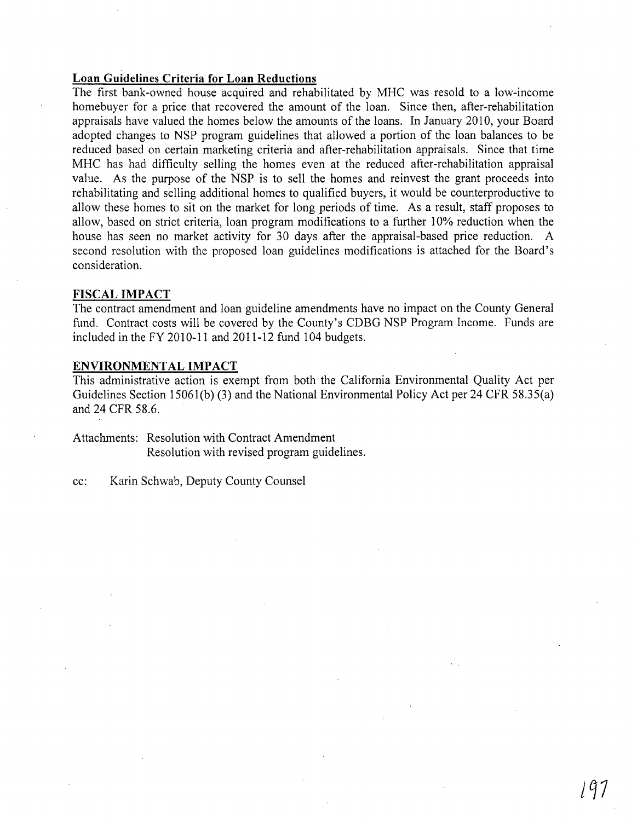## **Loan Guidelines Criteria for Loan Reductions**

The first bank-owned house acquired and rehabilitated by MHC was resold to a low-income home buyer for a price that recovered the amount of the loan. Since then, after-rehabilitation appraisals have valued the homes below the amounts of the loans. In January 2010, your Board adopted changes to NSP program guidelines that allowed a portion of the loan balances to be reduced based on certain marketing criteria and after-rehabilitation appraisals. Since that time MHC has had difficulty selling the homes even at the reduced after-rehabilitation appraisal value. As the purpose of the NSP is to sell the homes and reinvest the grant proceeds into rehabilitating and selling additional homes to qualified buyers, it would be counterproductive to allow these homes to sit on the market for long periods of time. As a result, staff proposes to allow, based on strict criteria, loan program modifications to a further 10% reduction when the house has seen no market activity for 30 days after the appraisal-based price reduction. A second resolution with the proposed loan guidelines modifications is attached for the Board's consideration.

#### **FISCAL IMPACT**

The contract amendment and loan guideline amendments have no impact on the County General fund. Contract costs will be covered by the County's CDBG NSP Program Income. Funds are included in the FY 2010-11 and 2011-12 fund 104 budgets.

#### **ENVIRONMENTAL IMPACT**

This administrative action is exempt from both the California Environmental Quality Act per Guidelines Section 15061(b) (3) and the National Environmental Policy Act per 24 CFR 58.35(a) and 24 CFR 58.6.

Attachments: Resolution with Contract Amendment Resolution with revised program guidelines.

cc: Karin Schwab, Deputy County Counsel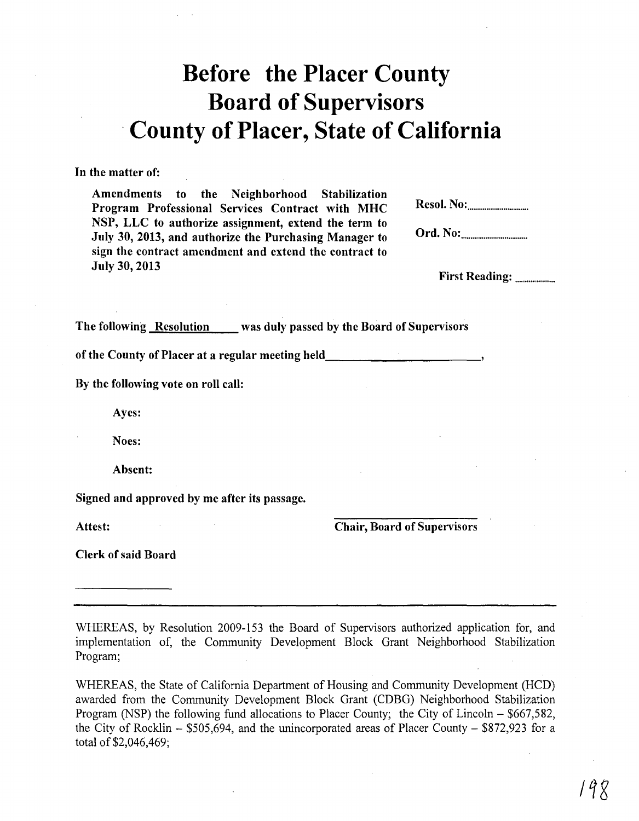# **Before the Placer County Board of Supervisors**  . **County of Placer, State of California**

**In** the matter of:

Amendments to the Neighborhood Stabilization Program Professional Services Contract with MHC NSP, LLC to authorize assignment, extend the term to July 30, 2013, and authorize the Purchasing Manager to sign the contract amendment and extend the contract to July 30, 2013

Resol. No: ............................... .

Ord. No: ................................. ..

First Reading:

The following Resolution was duly passed by the Board of Supervisors

of the County of Placer at a regular meeting held \_\_\_\_\_\_\_\_\_\_\_\_\_\_\_\_\_\_\_\_\_\_\_\_\_\_\_\_\_\_

By the following vote on roll call:

Ayes:

Noes:

Absent:

Signed and approved by me after its passage.

Attest: Chair, Board of Supervisors

Clerk of said Board

WHEREAS, by Resolution 2009-153 the Board of Supervisors authorized application for, and implementation of, the Community Development Block Grant Neighborhood Stabilization Program;

WHEREAS, the State of California Department of Housing and Community Development (HCD) awarded from the Community Development Block Grant (CDBG) Neighborhood Stabilization Program (NSP) the following fund allocations to Placer County; the City of Lincoln – \$667,582, the City of Rocklin  $-$  \$505,694, and the unincorporated areas of Placer County  $-$  \$872,923 for a total of \$2,046,469;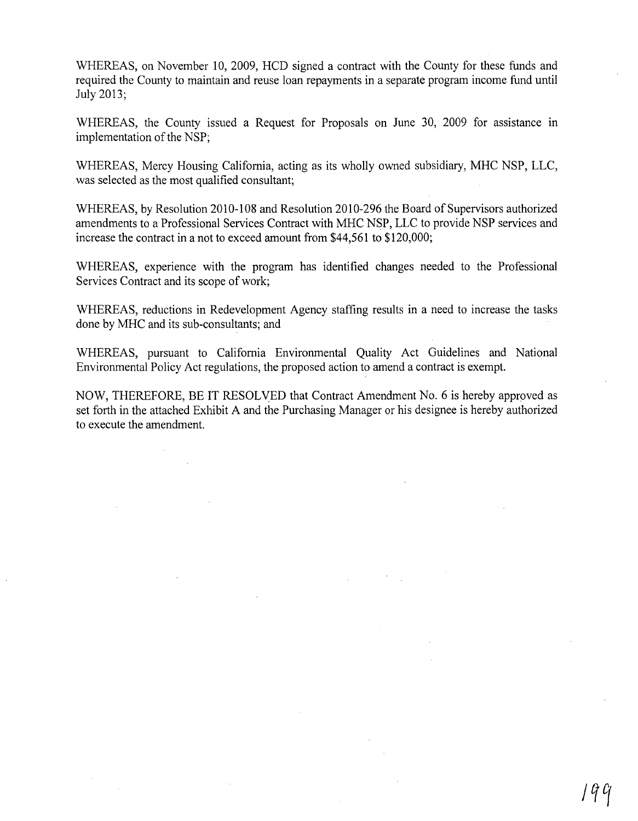WHEREAS, on November 10, 2009, HCD signed a contract with the County for these funds and required the County to maintain and reuse loan repayments in a separate program income fund until July 2013;

WHEREAS, the County issued a Request for Proposals on June 30, 2009 for assistance in implementation of the NSP;

WHEREAS, Mercy Housing California, acting as its wholly owned subsidiary, MHC NSP, LLC, . was selected as the most qualified consultant;

WHEREAS, by Resolution 2010-108 and Resolution 2010-296 the Board of Supervisors authorized amendments to a Professional Services Contract with MHC NSP, LLC to provide NSP services and increase the contract in a not to exceed amount from \$44,561 to \$120,000;

WHEREAS, experience with the program has identified changes needed to the Professional Services Contract and its scope of work;

WHEREAS, reductions in Redevelopment Agency staffing results in a need to increase the tasks done by MHC and its sub-consultants; and

WHEREAS, pursuant to California Environmental Quality Act Guidelines and National Environmental Policy Act regulations, the proposed action to amend a contract is exempt.

NOW, THEREFORE, BE IT RESOLVED that Contract Amendment No.6 is hereby approved as set forth in the attached Exhibit A and the Purchasing Manager or his designee is hereby authorized to execute the amendment.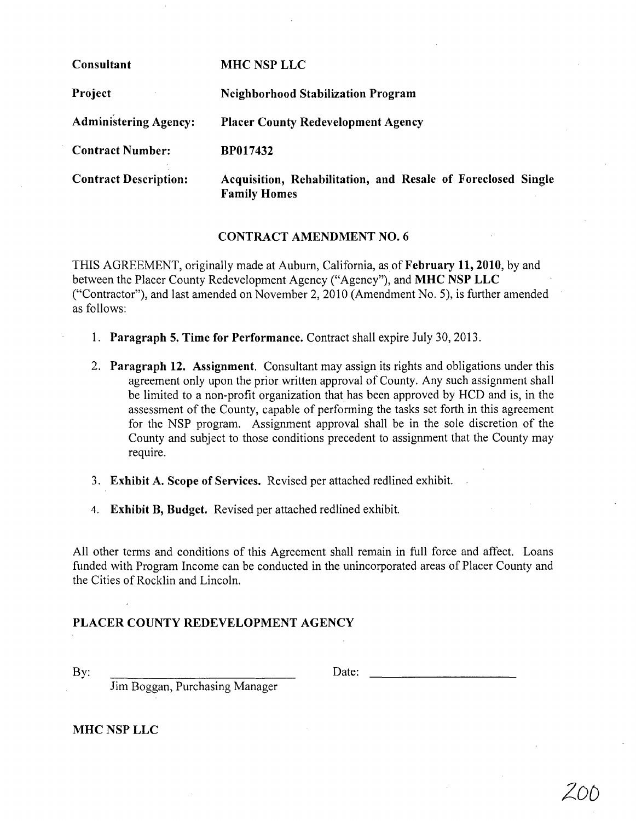| Consultant                   | <b>MHC NSP LLC</b>                                                                  |
|------------------------------|-------------------------------------------------------------------------------------|
| Project                      | <b>Neighborhood Stabilization Program</b>                                           |
| <b>Administering Agency:</b> | <b>Placer County Redevelopment Agency</b>                                           |
| <b>Contract Number:</b>      | BP017432                                                                            |
| <b>Contract Description:</b> | Acquisition, Rehabilitation, and Resale of Foreclosed Single<br><b>Family Homes</b> |

## CONTRACT AMENDMENT NO.6

THIS AGREEMENT, originally made at Auburn, California, as of February 11, 2010, by and between the Placer County Redevelopment Agency ("Agency"), and MHC NSP LLC ("Contractor"), and last amended on November 2,2010 (Amendment No.5), is further amended as follows:

- 1. Paragraph 5. Time for Performance. Contract shall expire July 30, 20l3.
- 2. Paragraph 12. Assignment. Consultant may assign its rights and obligations under this agreement only upon the prior written approval of County. Any such assignment shall be limited to a non-profit organization that has been approved by HCD and is, in the assessment of the County, capable of performing the tasks set forth in this agreement for the NSP program. Assignment approval shall be in the sole discretion of the County and subject to those conditions precedent to assignment that the County may require.
- 3. Exhibit A. Scope of Services. Revised per attached redlined exhibit.
- 4. Exhibit B, Budget. Revised per attached redlined exhibit.

All other terms and conditions of this Agreement shall remain in full force and affect. Loans funded with Program Income can be conducted in the unincorporated areas of Placer County and the Cities of Rocklin and Lincoln.

## PLACER COUNTY REDEVELOPMENT AGENCY

By:  $Date:$ 

20D

Jim Boggan, Purchasing Manager

MHC NSP LLC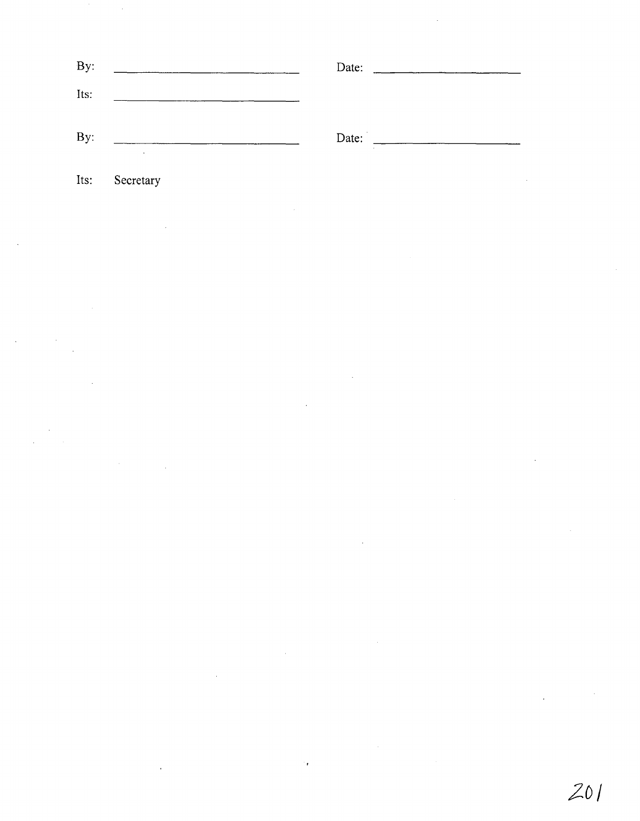| By:  |           | Date: |  |
|------|-----------|-------|--|
| Its: |           |       |  |
| By:  |           | Date: |  |
| Its: | Secretary |       |  |

 $\label{eq:2.1} \mathcal{L}(\mathcal{L}^{\mathcal{L}}_{\mathcal{L}}(\mathcal{L}^{\mathcal{L}}_{\mathcal{L}}))\leq \mathcal{L}(\mathcal{L}^{\mathcal{L}}_{\mathcal{L}}(\mathcal{L}^{\mathcal{L}}_{\mathcal{L}}))\leq \mathcal{L}(\mathcal{L}^{\mathcal{L}}_{\mathcal{L}}(\mathcal{L}^{\mathcal{L}}_{\mathcal{L}}))$ 

 $\label{eq:2.1} \frac{1}{\sqrt{2}}\int_{\mathbb{R}^3}\frac{1}{\sqrt{2}}\left(\frac{1}{\sqrt{2}}\right)^2\frac{1}{\sqrt{2}}\left(\frac{1}{\sqrt{2}}\right)^2\frac{1}{\sqrt{2}}\left(\frac{1}{\sqrt{2}}\right)^2\frac{1}{\sqrt{2}}\left(\frac{1}{\sqrt{2}}\right)^2\frac{1}{\sqrt{2}}\left(\frac{1}{\sqrt{2}}\right)^2\frac{1}{\sqrt{2}}\frac{1}{\sqrt{2}}\frac{1}{\sqrt{2}}\frac{1}{\sqrt{2}}\frac{1}{\sqrt{2}}\frac{1}{\sqrt{2}}$ 

 $\label{eq:2.1} \begin{split} \mathcal{L}^{(1)}(x) &= \mathcal{L}^{(1)}(x) \mathcal{L}^{(1)}(x) \mathcal{L}^{(1)}(x) \mathcal{L}^{(1)}(x) \mathcal{L}^{(1)}(x) \mathcal{L}^{(1)}(x) \mathcal{L}^{(1)}(x) \mathcal{L}^{(1)}(x) \mathcal{L}^{(1)}(x) \mathcal{L}^{(1)}(x) \mathcal{L}^{(1)}(x) \mathcal{L}^{(1)}(x) \mathcal{L}^{(1)}(x) \mathcal{L}^{(1)}(x) \mathcal{L}^{(1)}$ 

 $\label{eq:2.1} \frac{1}{\sqrt{2}}\left(\frac{1}{\sqrt{2}}\right)^{2} \left(\frac{1}{\sqrt{2}}\right)^{2} \left(\frac{1}{\sqrt{2}}\right)^{2} \left(\frac{1}{\sqrt{2}}\right)^{2} \left(\frac{1}{\sqrt{2}}\right)^{2} \left(\frac{1}{\sqrt{2}}\right)^{2} \left(\frac{1}{\sqrt{2}}\right)^{2} \left(\frac{1}{\sqrt{2}}\right)^{2} \left(\frac{1}{\sqrt{2}}\right)^{2} \left(\frac{1}{\sqrt{2}}\right)^{2} \left(\frac{1}{\sqrt{2}}\right)^{2} \left(\$ 

 $\label{eq:2.1} \frac{1}{\sqrt{2}}\sum_{i=1}^n\frac{1}{\sqrt{2}}\sum_{i=1}^n\frac{1}{\sqrt{2}}\sum_{i=1}^n\frac{1}{\sqrt{2}}\sum_{i=1}^n\frac{1}{\sqrt{2}}\sum_{i=1}^n\frac{1}{\sqrt{2}}\sum_{i=1}^n\frac{1}{\sqrt{2}}\sum_{i=1}^n\frac{1}{\sqrt{2}}\sum_{i=1}^n\frac{1}{\sqrt{2}}\sum_{i=1}^n\frac{1}{\sqrt{2}}\sum_{i=1}^n\frac{1}{\sqrt{2}}\sum_{i=1}^n\frac$ 

 $\label{eq:2.1} \frac{1}{\sqrt{2}}\int_{\mathbb{R}^3}\frac{1}{\sqrt{2}}\left(\frac{1}{\sqrt{2}}\right)^2\frac{1}{\sqrt{2}}\left(\frac{1}{\sqrt{2}}\right)^2\frac{1}{\sqrt{2}}\left(\frac{1}{\sqrt{2}}\right)^2\frac{1}{\sqrt{2}}\left(\frac{1}{\sqrt{2}}\right)^2\frac{1}{\sqrt{2}}\left(\frac{1}{\sqrt{2}}\right)^2\frac{1}{\sqrt{2}}\frac{1}{\sqrt{2}}\frac{1}{\sqrt{2}}\frac{1}{\sqrt{2}}\frac{1}{\sqrt{2}}\frac{1}{\sqrt{2}}$ 

 $\label{eq:2} \frac{1}{2}\sum_{i=1}^n\sum_{j=1}^n\frac{1}{j!}\sum_{j=1}^n\sum_{j=1}^n\frac{1}{j!}\sum_{j=1}^n\sum_{j=1}^n\frac{1}{j!}\sum_{j=1}^n\frac{1}{j!}\sum_{j=1}^n\frac{1}{j!}\sum_{j=1}^n\frac{1}{j!}\sum_{j=1}^n\frac{1}{j!}\sum_{j=1}^n\frac{1}{j!}\sum_{j=1}^n\frac{1}{j!}\sum_{j=1}^n\frac{1}{j!}\sum_{j=1}^n\frac{1}{j!}\sum_{j$ 

 $\label{eq:2.1} \frac{1}{\sqrt{2}}\int_{\mathbb{R}^3}\frac{1}{\sqrt{2}}\left(\frac{1}{\sqrt{2}}\right)^2\frac{1}{\sqrt{2}}\left(\frac{1}{\sqrt{2}}\right)^2\frac{1}{\sqrt{2}}\left(\frac{1}{\sqrt{2}}\right)^2.$ 

 $\ddot{\phantom{0}}$ 

 $\mathcal{L}^{\mathcal{L}}(\mathcal{L}^{\mathcal{L}})$  and  $\mathcal{L}^{\mathcal{L}}(\mathcal{L}^{\mathcal{L}})$  and  $\mathcal{L}^{\mathcal{L}}(\mathcal{L}^{\mathcal{L}})$ 

 $\label{eq:2.1} \frac{1}{\sqrt{2}}\left(\frac{1}{\sqrt{2}}\right)^{2} \left(\frac{1}{\sqrt{2}}\right)^{2} \left(\frac{1}{\sqrt{2}}\right)^{2} \left(\frac{1}{\sqrt{2}}\right)^{2} \left(\frac{1}{\sqrt{2}}\right)^{2} \left(\frac{1}{\sqrt{2}}\right)^{2} \left(\frac{1}{\sqrt{2}}\right)^{2} \left(\frac{1}{\sqrt{2}}\right)^{2} \left(\frac{1}{\sqrt{2}}\right)^{2} \left(\frac{1}{\sqrt{2}}\right)^{2} \left(\frac{1}{\sqrt{2}}\right)^{2} \left(\$ 

 $\label{eq:2.1} \frac{1}{\sqrt{2}}\left(\frac{1}{\sqrt{2}}\right)^{2} \left(\frac{1}{\sqrt{2}}\right)^{2} \left(\frac{1}{\sqrt{2}}\right)^{2} \left(\frac{1}{\sqrt{2}}\right)^{2} \left(\frac{1}{\sqrt{2}}\right)^{2} \left(\frac{1}{\sqrt{2}}\right)^{2} \left(\frac{1}{\sqrt{2}}\right)^{2} \left(\frac{1}{\sqrt{2}}\right)^{2} \left(\frac{1}{\sqrt{2}}\right)^{2} \left(\frac{1}{\sqrt{2}}\right)^{2} \left(\frac{1}{\sqrt{2}}\right)^{2} \left(\$ 

*;:'0/*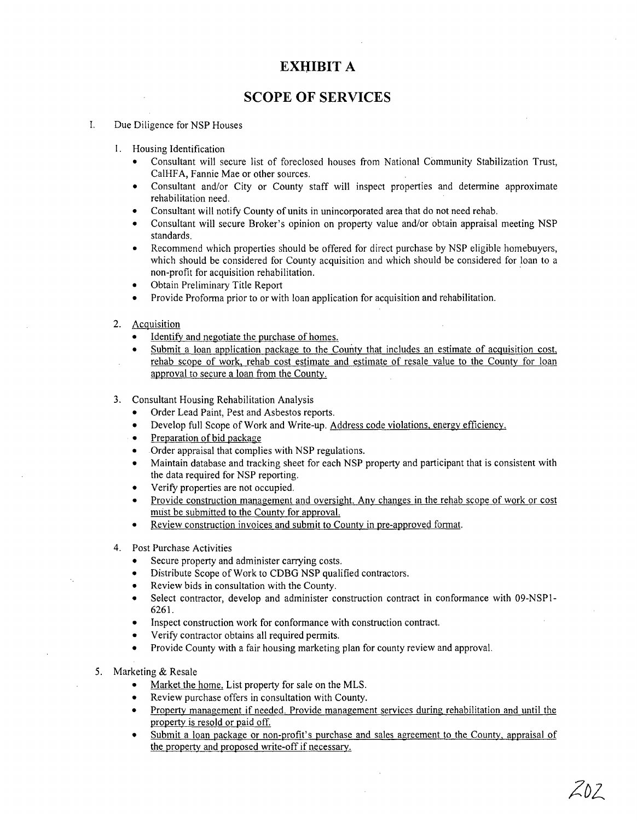# **EXHIBIT A**

## **SCOPE OF SERVICES**

#### I. Due Diligence for NSP Houses

- I. Housing Identification
	- Consultant will secure list of foreclosed houses from National Community Stabilization Trust, CalHFA, Fannie Mae or other sources.
	- Consultant and/or City or County staff will inspect properties and determine approximate rehabilitation need.
	- Consultant will notify County of units in unincorporated area that do not need rehab.
	- Consultant will secure Broker's opinion on property value and/or obtain appraisal meeting NSP standards.
	- Recommend which properties should be offered for direct purchase by NSP eligible homebuyers, which should be considered for County acquisition and which should be considered for loan to a non-profit for acquisition rehabilitation. .
	- Obtain Preliminary Title Report
	- Provide Proforma prior to or with loan application for acquisition and rehabilitation.
- 2. Acquisition
	- Identify and negotiate the purchase of homes.
	- Submit a loan application package to the County that includes an estimate of acquisition cost, rehab scope of work, rehab cost estimate and estimate of resale value to the County for loan approval to secure a loan from the County.
- 3. Consultant Housing Rehabilitation Analysis
	- Order Lead Paint, Pest and Asbestos reports.
	- Develop full Scope of Work and Write-up. Address code violations, energy efficiency.
	- Preparation of bid package
	- Order appraisal that complies with NSP regulations.
	- Maintain database and tracking sheet for each NSP property and participant that is consistent with the data required for NSP reporting.
	- Verify properties are not occupied.
	- Provide construction management and oversight. Any changes in the rehab scope of work or cost must be submitted to the County for approval.
	- Review construction invoices and submit to County in pre-approved format.
- 4. Post Purchase Activities
	- Secure property and administer carrying costs.
	- Distribute Scope of Work to CDBG NSP qualified contractors.
	- Review bids in consultation with the County.
	- Select contractor, develop and administer construction contract in conformance with 09-NSPl-6261.
	- Inspect construction work for conformance with construction contract.
	- Verify contractor obtains all required permits.
	- Provide County with a fair housing marketing plan for county review and approval.
- 5. Marketing & Resale
	- Market the home. List property for sale on the MLS.
	- Review purchase offers in consultation with County.
	- Property management if needed. Provide management services during rehabilitation and until the property is resold or paid off.
	- Submit a loan package or non-profit's purchase and sales agreement to the County, appraisal of the property and proposed write-off if necessary.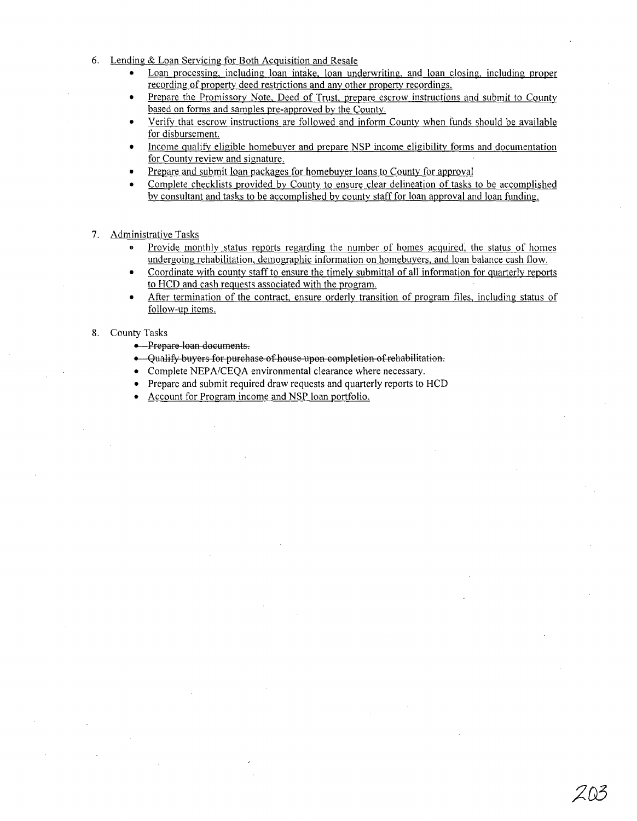- 6. Lending & Loan Servicing for Both Acquisition and Resale
	- Loan processing, including loan intake, loan underwriting, and loan closing, including proper recording of property deed restrictions and any other property recordings.
	- Prepare the Promissory Note, Deed of Trust, prepare escrow instructions and submit to County based on forms and samples pre-approved by the County.
	- Verify that escrow instructions are followed and inform County when funds should be available for disbursement.
	- Income qualify eligible homebuyer and prepare NSP income eligibility forms and documentation for County review and signature.
	- Prepare and submit loan packages for home buyer loans to County for approval
	- Complete checklists provided by County to ensure clear delineation of tasks to be accomplished by consultant and tasks to be accomplished by county staff for loan approval and loan funding.
- 7. Administrative Tasks
	- .. Provide monthly status reports regarding the number of homes acquired, the status of homes undergoing rehabilitation, demographic information on homebuyers, and loan balance cash flow.
	- Coordinate with county staff to ensure the timely submittal of all information for quarterly reports to HCD and cash requests associated with the program.
	- After termination of the contract, ensure orderly transition of program files, including status of follow-up items.

#### 8. County Tasks

- Prepare-loan documents.
- Qualify buyers for purchase of house upon completion of rehabilitation.
- Complete NEPA/CEQA environmental clearance where necessary.
- Prepare and submit required draw requests and quarterly reports to HCD
- Account for Program income and NSP loan portfolio.

ZN3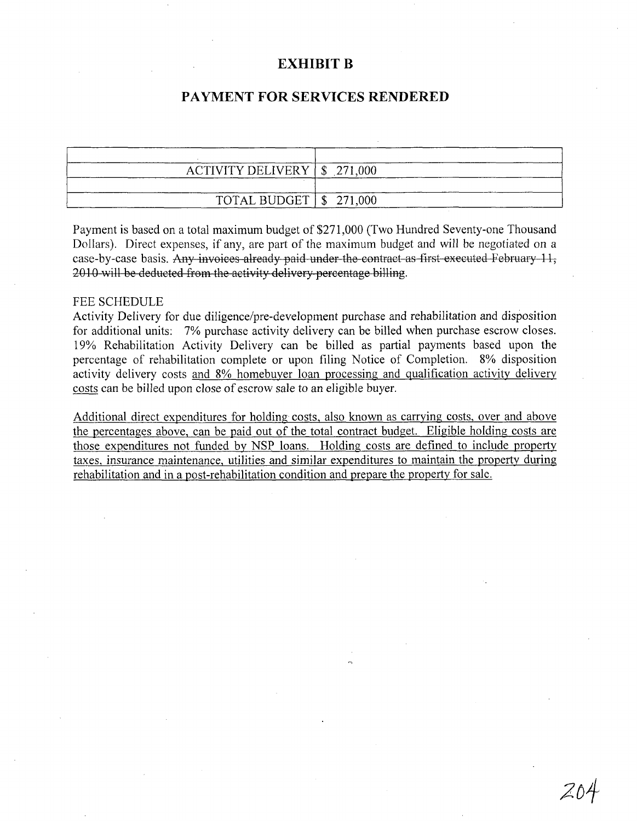## **EXHIBIT B**

# **PAYMENT FOR SERVICES RENDERED**

| ACTIVITY DELIVERY $\mid$ \$ 271,000 |  |
|-------------------------------------|--|
| TOTAL BUDGET $\frac{1}{2}$ 271,000  |  |

Payment is based on a total maximum budget of \$271,000 (Two Hundred Seventy-one Thousand Dollars). Direct expenses, if any, are part of the maximum budget and will be negotiated on a case-by-case basis. Any invoices already paid under the contract as first executed February 11, 2010 will be deducted from the activity delivery percentage billing.

#### FEE SCHEDULE

Activity Delivery for due diligence/pre-development purchase and rehabilitation and disposition for additional units: 7% purchase activity delivery can be billed when purchase escrow closes. 19% Rehabilitation Activity Delivery can be billed as partial payments based upon the percentage of rehabilitation complete or upon filing Notice of Completion. 8% disposition activity delivery costs and 8% homebuyer loan processing and qualification activity delivery costs can be billed upon close of escrow sale to an eligible buyer.

Additional direct expenditures for holding costs, also known as carrying costs, over and above the percentages above, can be paid out of the total contract budget. Eligible holding costs are those expenditures not funded by NSP loans. Holding costs are defined to include property taxes, insurance maintenance, utilities and similar expenditures to maintain the property during rehabilitation and in a post-rehabilitation condition and prepare the property for sale.

204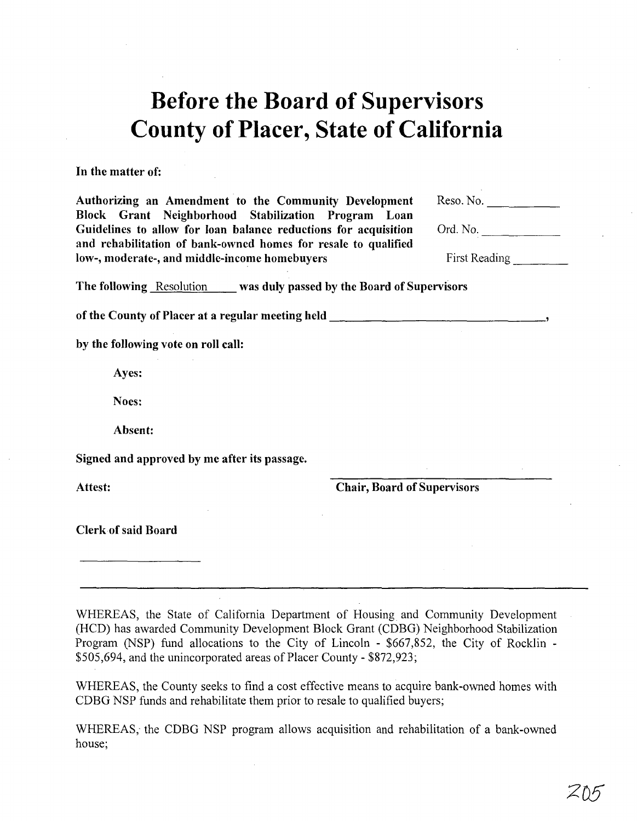# **Before the Board of Supervisors County of Placer, State of California**

**In** the matter of:

Authorizing an Amendment to the Community Development Block Grant Neighborhood Stabilization Program Loan Guidelines to allow for loan balance reductions for acquisition and rehabilitation of bank-owned homes for resale to qualified<br>low-, moderate-, and middle-income homebuyers First Reading \_\_\_\_\_\_\_\_\_\_\_\_\_\_\_\_\_\_\_\_

Reso. No.

Ord. No.

The following Resolution was duly passed by the Board of Supervisors

of the County of Placer at a regular meeting held  $\qquad \qquad$ 

by the following vote on roll call:

Ayes:

Noes:

Absent:

Signed and approved by me after its passage.

Attest: Chair, Board of Supervisors

Clerk of said Board

WHEREAS, the State of California Department of Housing and Community Development (HCD) has awarded Community Development Block Grant (CDBG) Neighborhood Stabilization Program (NSP) fund allocations to the City of Lincoln - \$667,852, the City of Rocklin - \$505,694, and the unincorporated areas of Placer County - \$872,923;

WHEREAS, the County seeks to find a cost effective means to acquire bank-owned homes with CDBG NSP funds and rehabilitate them prior to resale to qualified buyers;

WHEREAS, the CDBG NSP program allows acquisition and rehabilitation of a bank-owned house;